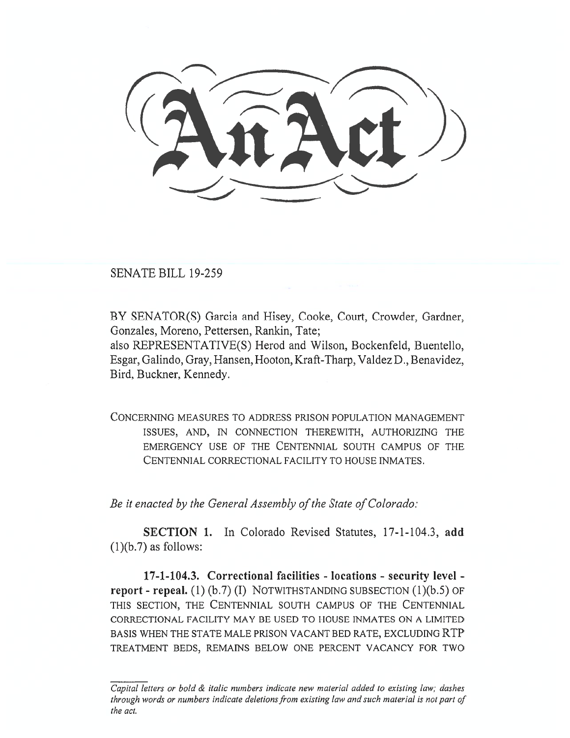SENATE BILL 19-259

BY SENATOR(S) Garcia and Hisey, Cooke, Court, Crowder, Gardner, Gonzales, Moreno, Pettersen, Rankin, Tate; also REPRESENTATIVE(S) Herod and Wilson, Bockenfeld, Buentello, Esgar, Galindo, Gray, Hansen, Hooton, Kraft-Tharp, Valdez D., Benavidez, Bird, Buckner, Kennedy.

CONCERNING MEASURES TO ADDRESS PRISON POPULATION MANAGEMENT ISSUES, AND, IN CONNECTION THEREWITH, AUTHORIZING THE EMERGENCY USE OF THE CENTENNIAL SOUTH CAMPUS OF THE CENTENNIAL CORRECTIONAL FACILITY TO HOUSE INMATES.

*Be it enacted by the General Assembly of the State of Colorado:* 

**SECTION 1.** In Colorado Revised Statutes, 17-1-104.3, **add**   $(1)(b.7)$  as follows:

**17-1-104.3. Correctional facilities - locations - security level report - repeal.** (1) (b.7) (I) NOTWITHSTANDING SUBSECTION (1)(b.5) OF THIS SECTION, THE CENTENNIAL SOUTH CAMPUS OF THE CENTENNIAL CORRECTIONAL FACILITY MAY BE USED TO HOUSE INMATES ON A LIMITED BASIS WHEN THE STATE MALE PRISON VACANT BED RATE, EXCLUDING RTP TREATMENT BEDS, REMAINS BELOW ONE PERCENT VACANCY FOR TWO

*Capital letters or bold & italic numbers indicate new material added to existing law; dashes through words or numbers indicate deletions from existing law and such material is not part of the act.*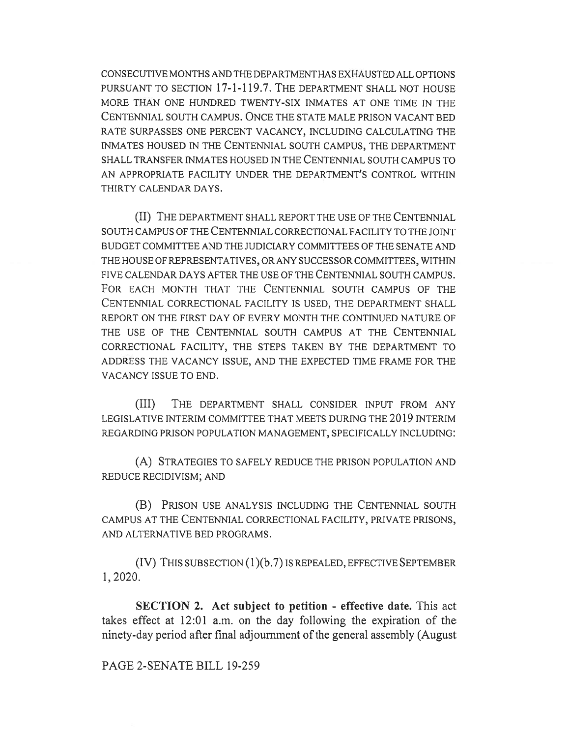CONSECUTIVE MONTHS AND THE DEPARTMENT HAS EXHAUSTED ALL OPTIONS PURSUANT TO SECTION 17-1-119.7. THE DEPARTMENT SHALL NOT HOUSE MORE THAN ONE HUNDRED TWENTY-SIX INMATES AT ONE TIME IN THE CENTENNIAL SOUTH CAMPUS. ONCE THE STATE MALE PRISON VACANT BED RATE SURPASSES ONE PERCENT VACANCY, INCLUDING CALCULATING THE INMATES HOUSED IN THE CENTENNIAL SOUTH CAMPUS, THE DEPARTMENT SHALL TRANSFER INMATES HOUSED IN THE CENTENNIAL SOUTH CAMPUS TO AN APPROPRIATE FACILITY UNDER THE DEPARTMENT'S CONTROL WITHIN THIRTY CALENDAR DAYS.

(II) THE DEPARTMENT SHALL REPORT THE USE OF THE CENTENNIAL SOUTH CAMPUS OF THE CENTENNIAL CORRECTIONAL FACILITY TO THE JOINT BUDGET COMMITTEE AND THE JUDICIARY COMMITTEES OF THE SENATE AND THE HOUSE OF REPRESENTATIVES, OR ANY SUCCESSOR COMMITTEES, WITHIN FIVE CALENDAR DAYS AFTER THE USE OF THE CENTENNIAL SOUTH CAMPUS. FOR EACH MONTH THAT THE CENTENNIAL SOUTH CAMPUS OF THE CENTENNIAL CORRECTIONAL FACILITY IS USED, THE DEPARTMENT SHALL REPORT ON THE FIRST DAY OF EVERY MONTH THE CONTINUED NATURE OF THE USE OF THE CENTENNIAL SOUTH CAMPUS AT THE CENTENNIAL CORRECTIONAL FACILITY, THE STEPS TAKEN BY THE DEPARTMENT TO ADDRESS THE VACANCY ISSUE, AND THE EXPECTED TIME FRAME FOR THE VACANCY ISSUE TO END.

(III) THE DEPARTMENT SHALL CONSIDER INPUT FROM ANY LEGISLATIVE INTERIM COMMITTEE THAT MEETS DURING THE 2019 INTERIM REGARDING PRISON POPULATION MANAGEMENT, SPECIFICALLY INCLUDING:

(A) STRATEGIES TO SAFELY REDUCE THE PRISON POPULATION AND REDUCE RECIDIVISM; AND

(B) PRISON USE ANALYSIS INCLUDING THE CENTENNIAL SOUTH CAMPUS AT THE CENTENNIAL CORRECTIONAL FACILITY, PRIVATE PRISONS, AND ALTERNATIVE BED PROGRAMS.

(IV) THIS SUBSECTION (1)(b.7) IS REPEALED, EFFECTIVE SEPTEMBER 1, 2020.

**SECTION 2. Act subject to petition - effective date.** This act takes effect at 12:01 a.m. on the day following the expiration of the ninety-day period after final adjournment of the general assembly (August

## PAGE 2-SENATE BILL 19-259